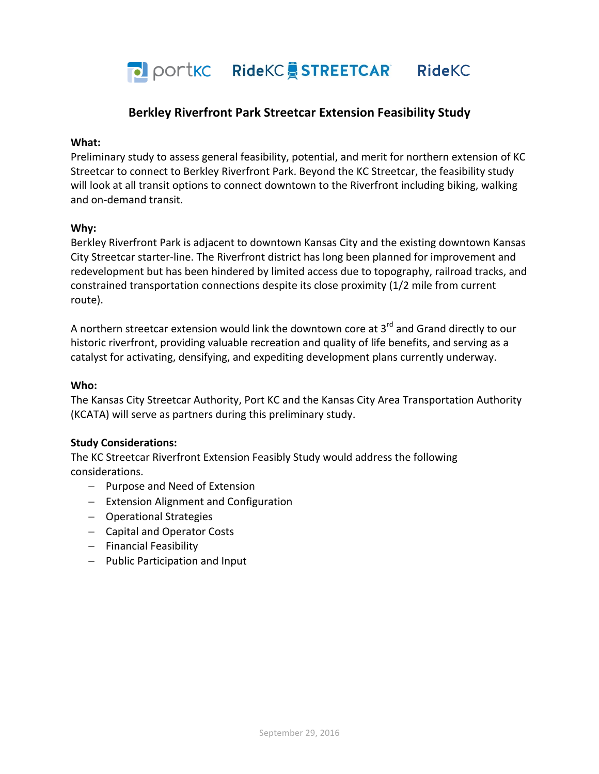PO portkc Ridekc STREETCAR Ridekc

# **Berkley Riverfront Park Streetcar Extension Feasibility Study**

#### **What:**

Preliminary study to assess general feasibility, potential, and merit for northern extension of KC Streetcar to connect to Berkley Riverfront Park. Beyond the KC Streetcar, the feasibility study will look at all transit options to connect downtown to the Riverfront including biking, walking and on-demand transit.

## **Why:**

Berkley Riverfront Park is adiacent to downtown Kansas City and the existing downtown Kansas City Streetcar starter-line. The Riverfront district has long been planned for improvement and redevelopment but has been hindered by limited access due to topography, railroad tracks, and constrained transportation connections despite its close proximity (1/2 mile from current route).

A northern streetcar extension would link the downtown core at  $3<sup>rd</sup>$  and Grand directly to our historic riverfront, providing valuable recreation and quality of life benefits, and serving as a catalyst for activating, densifying, and expediting development plans currently underway.

#### **Who:**

The Kansas City Streetcar Authority, Port KC and the Kansas City Area Transportation Authority (KCATA) will serve as partners during this preliminary study.

#### **Study Considerations:**

The KC Streetcar Riverfront Extension Feasibly Study would address the following considerations.

- Purpose and Need of Extension
- Extension Alignment and Configuration
- Operational Strategies
- Capital and Operator Costs
- Financial Feasibility
- Public Participation and Input